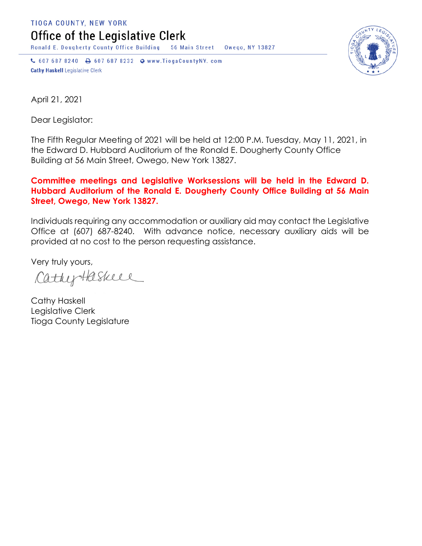TIOGA COUNTY, NEW YORK Office of the Legislative Clerk

Ronald E. Dougherty County Office Building 56 Main Street Owego, NY 13827

↓ 607 687 8240 → 607 687 8232 → www.TiogaCountyNY.com **Cathy Haskell Legislative Clerk** 



April 21, 2021

Dear Legislator:

The Fifth Regular Meeting of 2021 will be held at 12:00 P.M. Tuesday, May 11, 2021, in the Edward D. Hubbard Auditorium of the Ronald E. Dougherty County Office Building at 56 Main Street, Owego, New York 13827.

## **Committee meetings and Legislative Worksessions will be held in the Edward D. Hubbard Auditorium of the Ronald E. Dougherty County Office Building at 56 Main Street, Owego, New York 13827.**

Individuals requiring any accommodation or auxiliary aid may contact the Legislative Office at (607) 687-8240. With advance notice, necessary auxiliary aids will be provided at no cost to the person requesting assistance.

Very truly yours,

CathyHaskell

Cathy Haskell Legislative Clerk Tioga County Legislature